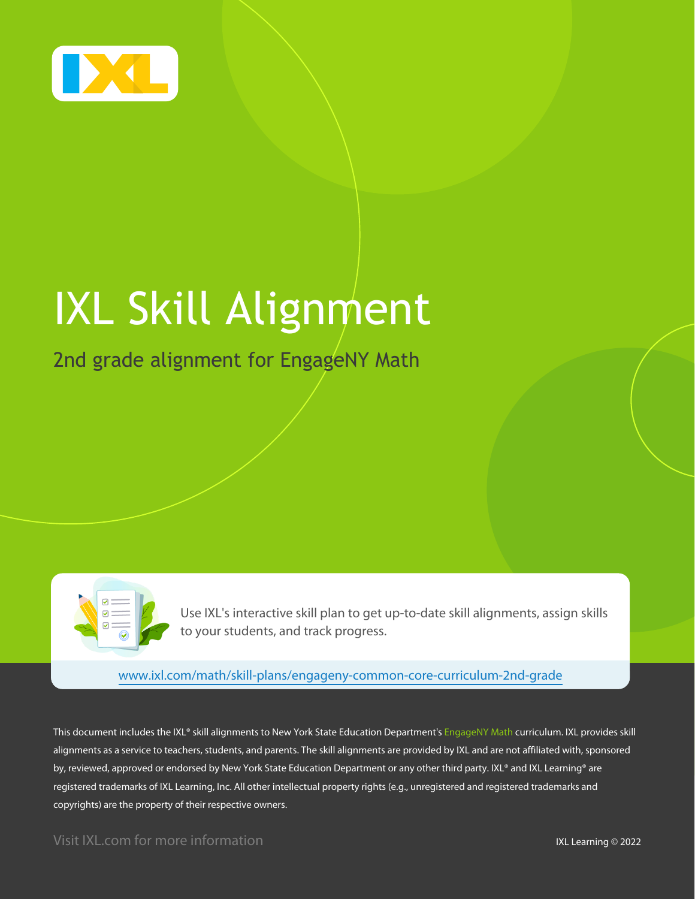

# IXL Skill Alignment

## 2nd grade alignment for EngageNY Math



Use IXL's interactive skill plan to get up-to-date skill alignments, assign skills to your students, and track progress.

[www.ixl.com/math/skill-plans/engageny-common-core-curriculum-2nd-grade](https://www.ixl.com/math/skill-plans/engageny-common-core-curriculum-2nd-grade)

This document includes the IXL® skill alignments to New York State Education Department's EngageNY Math curriculum. IXL provides skill alignments as a service to teachers, students, and parents. The skill alignments are provided by IXL and are not affiliated with, sponsored by, reviewed, approved or endorsed by New York State Education Department or any other third party. IXL® and IXL Learning® are registered trademarks of IXL Learning, Inc. All other intellectual property rights (e.g., unregistered and registered trademarks and copyrights) are the property of their respective owners.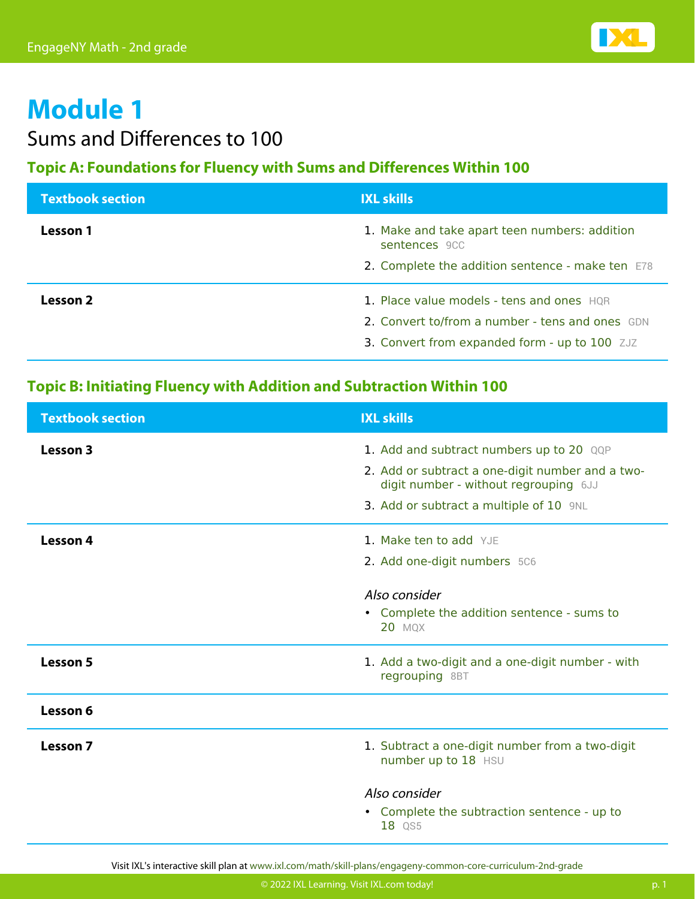

## Sums and Differences to 100

#### **Topic A: Foundations for Fluency with Sums and Differences Within 100**

| <b>Textbook section</b> | <b>IXL skills</b>                                              |
|-------------------------|----------------------------------------------------------------|
| Lesson 1                | 1. Make and take apart teen numbers: addition<br>sentences 9CC |
|                         | 2. Complete the addition sentence - make ten E78               |
| Lesson 2                | 1. Place value models - tens and ones HQR                      |
|                         | 2. Convert to/from a number - tens and ones GDN                |
|                         | 3. Convert from expanded form - up to 100 ZJZ                  |

#### **Topic B: Initiating Fluency with Addition and Subtraction Within 100**

| <b>Textbook section</b> | <b>IXL skills</b>                                                                                                                                                                |
|-------------------------|----------------------------------------------------------------------------------------------------------------------------------------------------------------------------------|
| Lesson 3                | 1. Add and subtract numbers up to 20 QQP<br>2. Add or subtract a one-digit number and a two-<br>digit number - without regrouping 6JJ<br>3. Add or subtract a multiple of 10 9NL |
| Lesson 4                | 1. Make ten to add YJE<br>2. Add one-digit numbers 5C6<br>Also consider<br>• Complete the addition sentence - sums to<br><b>20 MQX</b>                                           |
| <b>Lesson 5</b>         | 1. Add a two-digit and a one-digit number - with<br>regrouping 8BT                                                                                                               |
| Lesson 6                |                                                                                                                                                                                  |
| Lesson 7                | 1. Subtract a one-digit number from a two-digit<br>number up to 18 HSU                                                                                                           |
|                         | Also consider<br>• Complete the subtraction sentence - up to<br>18 QS5                                                                                                           |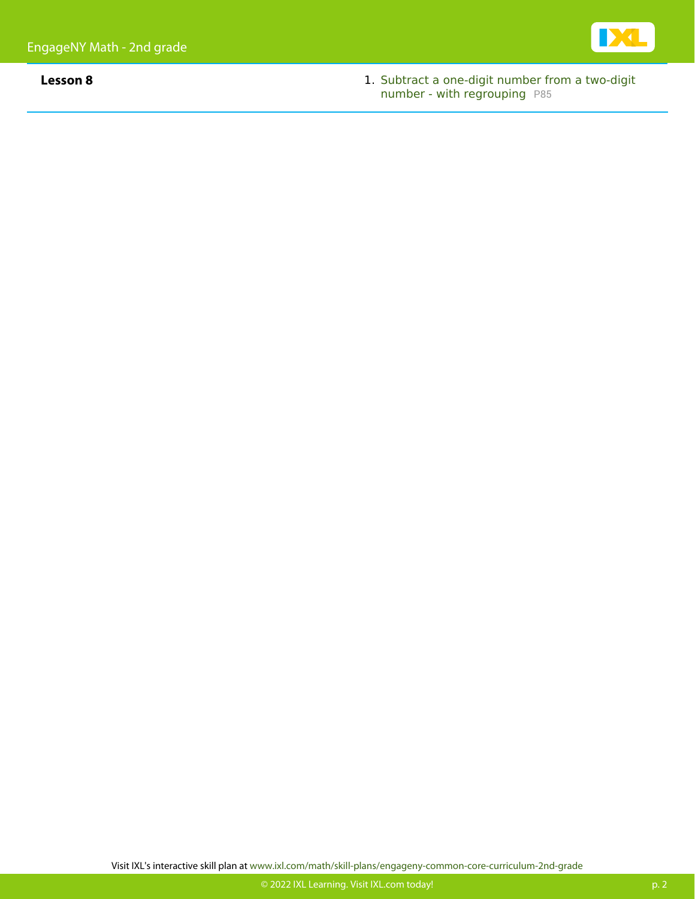

**Lesson 8** 1. [Subtract a one-digit number from a two-digit](https://www.ixl.com/math/grade-2/subtract-a-one-digit-number-from-a-two-digit-number-with-regrouping) [number - with regrouping](https://www.ixl.com/math/grade-2/subtract-a-one-digit-number-from-a-two-digit-number-with-regrouping) [P85](https://www.ixl.com/math/grade-2/subtract-a-one-digit-number-from-a-two-digit-number-with-regrouping)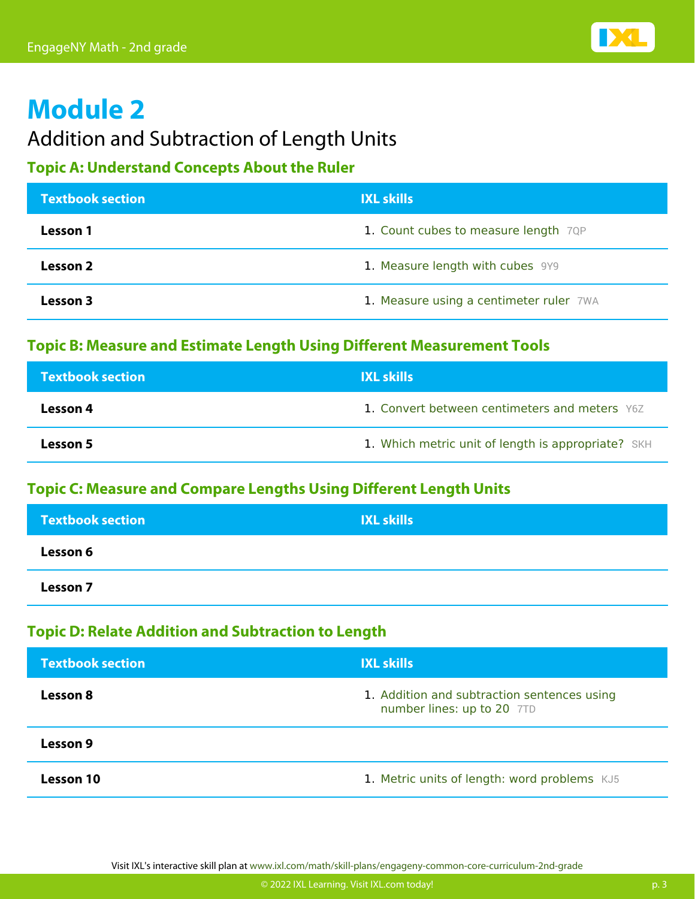

### Addition and Subtraction of Length Units

#### **Topic A: Understand Concepts About the Ruler**

| <b>Textbook section</b> | <b>IXL skills</b>                       |
|-------------------------|-----------------------------------------|
| Lesson 1                | 1. Count cubes to measure length 7QP    |
| Lesson 2                | 1. Measure length with cubes 9Y9        |
| Lesson 3                | 1. Measure using a centimeter ruler 7WA |

#### **Topic B: Measure and Estimate Length Using Different Measurement Tools**

| <b>Textbook section</b> | <b>IXL skills</b>                                  |
|-------------------------|----------------------------------------------------|
| Lesson 4                | 1. Convert between centimeters and meters Y6Z      |
| Lesson 5                | 1. Which metric unit of length is appropriate? SKH |

#### **Topic C: Measure and Compare Lengths Using Different Length Units**

| <b>Textbook section</b> | <b>IXL skills</b> |
|-------------------------|-------------------|
| Lesson 6                |                   |
| Lesson 7                |                   |

#### **Topic D: Relate Addition and Subtraction to Length**

| <b>Textbook section</b> | <b>IXL skills</b>                                                         |
|-------------------------|---------------------------------------------------------------------------|
| <b>Lesson 8</b>         | 1. Addition and subtraction sentences using<br>number lines: up to 20 7TD |
| Lesson 9                |                                                                           |
| <b>Lesson 10</b>        | 1. Metric units of length: word problems KJ5                              |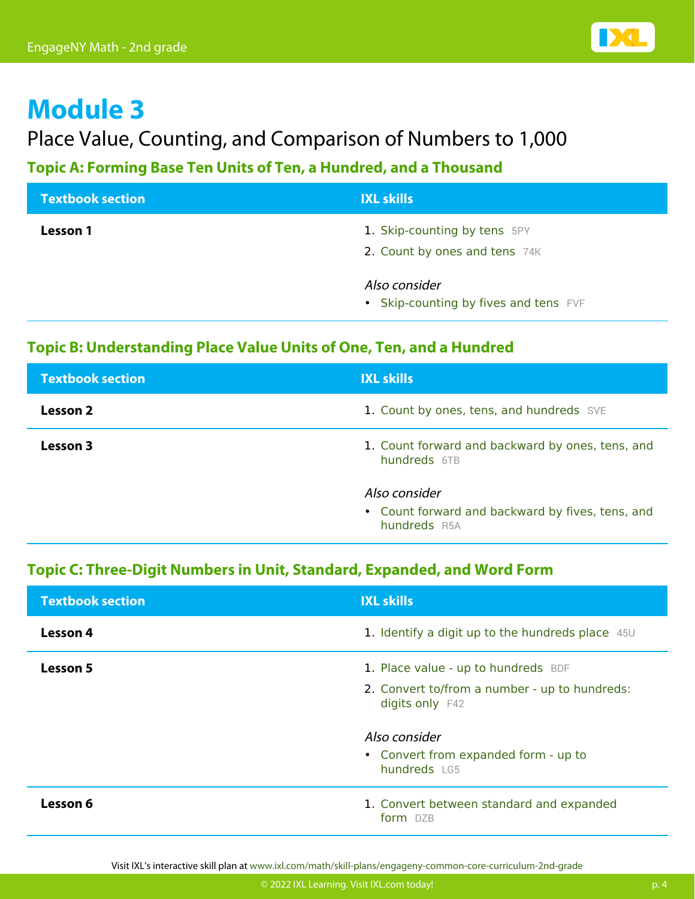

## Place Value, Counting, and Comparison of Numbers to 1,000

#### **Topic A: Forming Base Ten Units of Ten, a Hundred, and a Thousand**

| <b>Textbook section</b> | <b>IXL skills</b>                                             |
|-------------------------|---------------------------------------------------------------|
| Lesson 1                | 1. Skip-counting by tens 5PY<br>2. Count by ones and tens 74K |
|                         | Also consider<br>• Skip-counting by fives and tens FVF        |

#### **Topic B: Understanding Place Value Units of One, Ten, and a Hundred**

| <b>Textbook section</b> | <b>IXL skills</b>                                                 |
|-------------------------|-------------------------------------------------------------------|
| Lesson 2                | 1. Count by ones, tens, and hundreds SVE                          |
| Lesson 3                | 1. Count forward and backward by ones, tens, and<br>hundreds 6TB  |
|                         | Also consider<br>• Count forward and backward by fives, tens, and |
|                         | hundreds R5A                                                      |

#### **Topic C: Three-Digit Numbers in Unit, Standard, Expanded, and Word Form**

| <b>Textbook section</b> | <b>IXL skills</b>                                                |
|-------------------------|------------------------------------------------------------------|
| Lesson 4                | 1. Identify a digit up to the hundreds place 45U                 |
| <b>Lesson 5</b>         | 1. Place value - up to hundreds BDF                              |
|                         | 2. Convert to/from a number - up to hundreds:<br>digits only F42 |
|                         | Also consider                                                    |
|                         | • Convert from expanded form - up to<br>hundreds LG5             |
| Lesson 6                | 1. Convert between standard and expanded<br>form DZB             |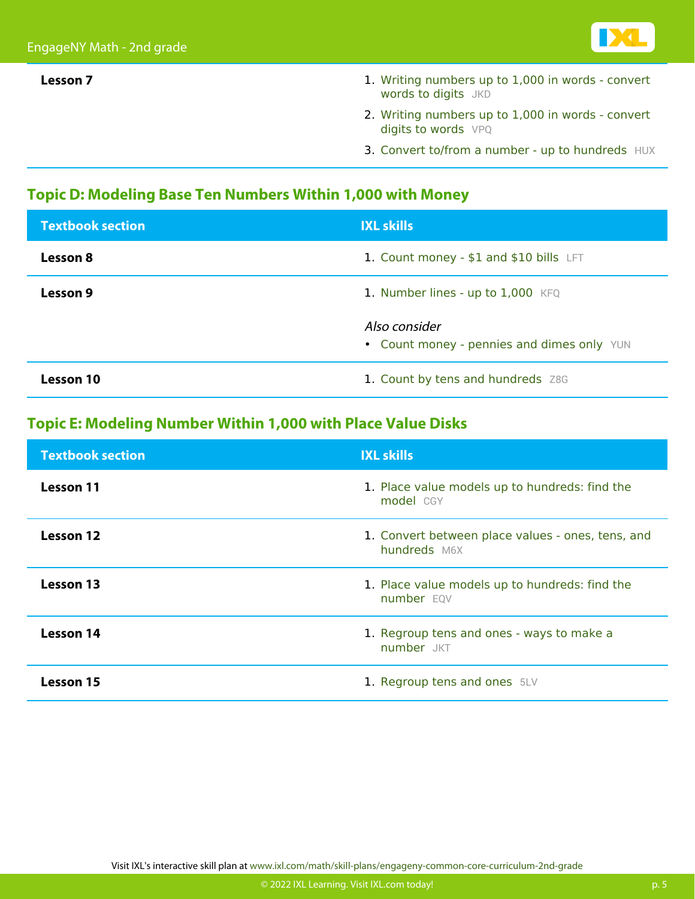

- **Lesson 7** 1. [Writing numbers up to 1,000 in words convert](https://www.ixl.com/math/grade-2/writing-numbers-up-to-1000-in-words-convert-words-to-digits) [words to digits](https://www.ixl.com/math/grade-2/writing-numbers-up-to-1000-in-words-convert-words-to-digits) [JKD](https://www.ixl.com/math/grade-2/writing-numbers-up-to-1000-in-words-convert-words-to-digits)
	- 2. [Writing numbers up to 1,000 in words convert](https://www.ixl.com/math/grade-2/writing-numbers-up-to-1000-in-words-convert-digits-to-words) [digits to words](https://www.ixl.com/math/grade-2/writing-numbers-up-to-1000-in-words-convert-digits-to-words) [VPQ](https://www.ixl.com/math/grade-2/writing-numbers-up-to-1000-in-words-convert-digits-to-words)
	- 3. [Convert to/from a number up to hundreds](https://www.ixl.com/math/grade-2/convert-to-from-a-number-up-to-hundreds) [HUX](https://www.ixl.com/math/grade-2/convert-to-from-a-number-up-to-hundreds)

#### **Topic D: Modeling Base Ten Numbers Within 1,000 with Money**

| <b>Textbook section</b> | <b>IXL skills</b>                                           |
|-------------------------|-------------------------------------------------------------|
| Lesson 8                | 1. Count money - \$1 and \$10 bills LFT                     |
| Lesson 9                | 1. Number lines - up to 1,000 KFQ                           |
|                         | Also consider<br>• Count money - pennies and dimes only YUN |
| <b>Lesson 10</b>        | 1. Count by tens and hundreds Z8G                           |

#### **Topic E: Modeling Number Within 1,000 with Place Value Disks**

| <b>Textbook section</b> | <b>IXL skills</b>                                                 |
|-------------------------|-------------------------------------------------------------------|
| Lesson 11               | 1. Place value models up to hundreds: find the<br>model CGY       |
| Lesson 12               | 1. Convert between place values - ones, tens, and<br>hundreds M6X |
| Lesson 13               | 1. Place value models up to hundreds: find the<br>number EQV      |
| Lesson 14               | 1. Regroup tens and ones - ways to make a<br>number JKT           |
| <b>Lesson 15</b>        | 1. Regroup tens and ones 5LV                                      |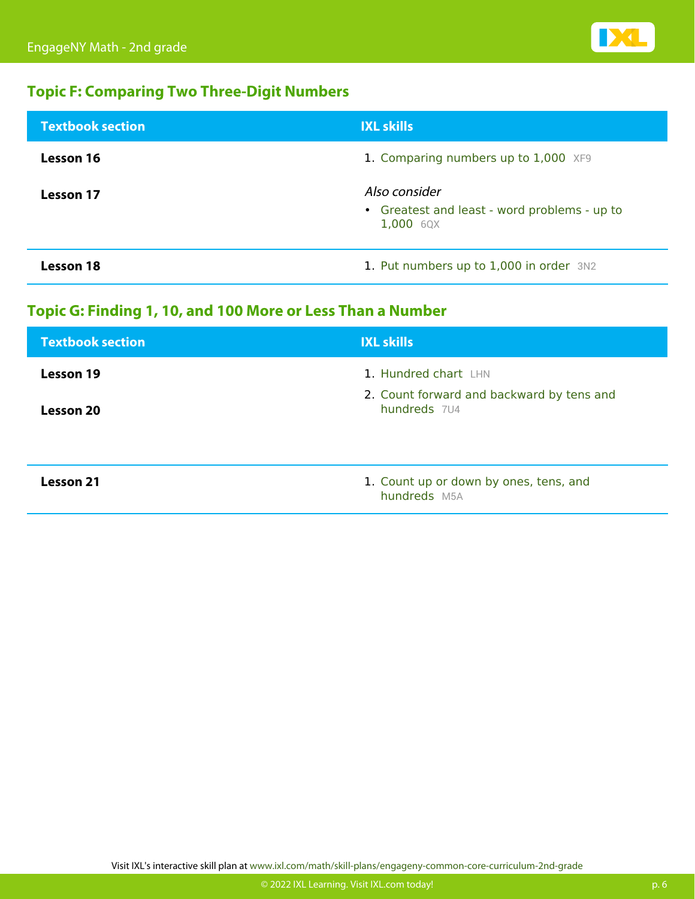

#### **Topic F: Comparing Two Three-Digit Numbers**

| <b>Textbook section</b> | <b>IXL skills</b>                                                          |
|-------------------------|----------------------------------------------------------------------------|
| Lesson 16               | 1. Comparing numbers up to 1,000 XF9                                       |
| Lesson 17               | Also consider<br>• Greatest and least - word problems - up to<br>1,000 6QX |
| Lesson 18               | 1. Put numbers up to 1,000 in order 3N2                                    |

#### **Topic G: Finding 1, 10, and 100 More or Less Than a Number**

| <b>Textbook section</b> | <b>IXL skills</b>                                         |
|-------------------------|-----------------------------------------------------------|
| <b>Lesson 19</b>        | 1. Hundred chart LHN                                      |
| <b>Lesson 20</b>        | 2. Count forward and backward by tens and<br>hundreds 7U4 |
| <b>Lesson 21</b>        | 1. Count up or down by ones, tens, and<br>hundreds M5A    |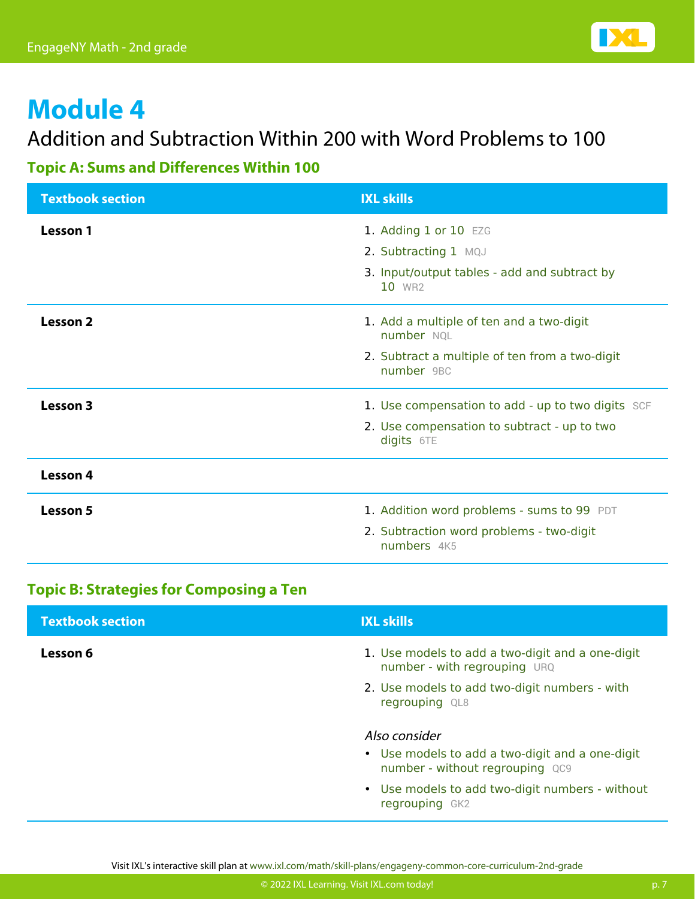

### Addition and Subtraction Within 200 with Word Problems to 100

#### **Topic A: Sums and Differences Within 100**

| <b>Textbook section</b> | <b>IXL skills</b>                                            |
|-------------------------|--------------------------------------------------------------|
| Lesson 1                | 1. Adding 1 or 10 EZG                                        |
|                         | 2. Subtracting 1 MQJ                                         |
|                         | 3. Input/output tables - add and subtract by<br>10 WR2       |
| <b>Lesson 2</b>         | 1. Add a multiple of ten and a two-digit<br>number NOL       |
|                         | 2. Subtract a multiple of ten from a two-digit<br>number 9BC |
| Lesson 3                | 1. Use compensation to add - up to two digits SCF            |
|                         | 2. Use compensation to subtract - up to two<br>digits 6TE    |
| Lesson 4                |                                                              |
| Lesson 5                | 1. Addition word problems - sums to 99 PDT                   |
|                         | 2. Subtraction word problems - two-digit<br>numbers 4K5      |

#### **Topic B: Strategies for Composing a Ten**

| <b>Textbook section</b> | <b>IXL skills</b>                                                                  |
|-------------------------|------------------------------------------------------------------------------------|
| Lesson 6                | 1. Use models to add a two-digit and a one-digit<br>number - with regrouping URQ   |
|                         | 2. Use models to add two-digit numbers - with<br>regrouping QL8                    |
|                         | Also consider                                                                      |
|                         | • Use models to add a two-digit and a one-digit<br>number - without regrouping QC9 |
|                         | • Use models to add two-digit numbers - without<br>regrouping GK2                  |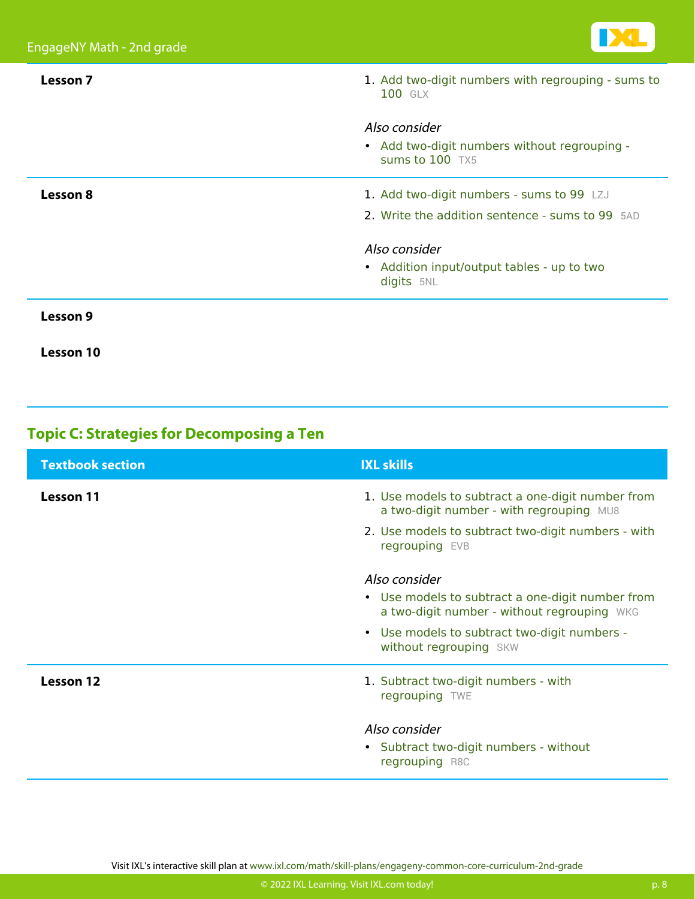

| Lesson 7         | 1. Add two-digit numbers with regrouping - sums to<br>100 GLX                    |
|------------------|----------------------------------------------------------------------------------|
|                  | Also consider<br>• Add two-digit numbers without regrouping -<br>sums to 100 TX5 |
|                  |                                                                                  |
| Lesson 8         | 1. Add two-digit numbers - sums to 99 LZJ                                        |
|                  | 2. Write the addition sentence - sums to 99 5AD                                  |
|                  | Also consider                                                                    |
|                  | • Addition input/output tables - up to two<br>digits 5NL                         |
| Lesson 9         |                                                                                  |
| <b>Lesson 10</b> |                                                                                  |

#### **Topic C: Strategies for Decomposing a Ten**

| <b>Textbook section</b> | <b>IXL skills</b>                                                                                                                                                                          |
|-------------------------|--------------------------------------------------------------------------------------------------------------------------------------------------------------------------------------------|
| Lesson 11               | 1. Use models to subtract a one-digit number from<br>a two-digit number - with regrouping MU8<br>2. Use models to subtract two-digit numbers - with<br>regrouping EVB                      |
|                         | Also consider<br>• Use models to subtract a one-digit number from<br>a two-digit number - without regrouping WKG<br>• Use models to subtract two-digit numbers -<br>without regrouping SKW |
| <b>Lesson 12</b>        | 1. Subtract two-digit numbers - with<br>regrouping TWE                                                                                                                                     |
|                         | Also consider<br>• Subtract two-digit numbers - without<br>regrouping R8C                                                                                                                  |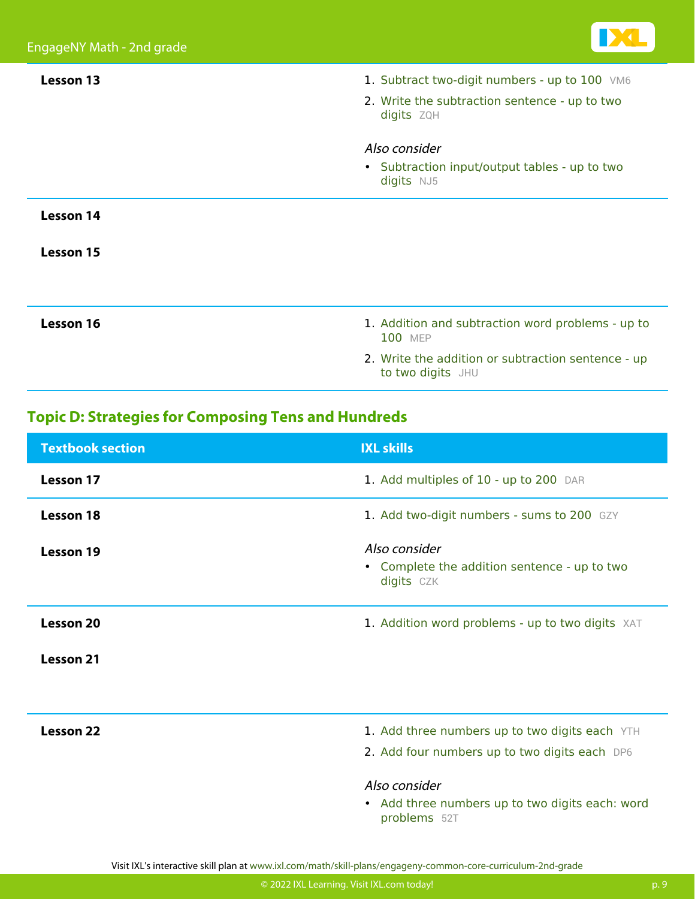

| <b>Lesson 13</b> | 1. Subtract two-digit numbers - up to 100 VM6                           |
|------------------|-------------------------------------------------------------------------|
|                  | 2. Write the subtraction sentence - up to two<br>digits ZQH             |
|                  | Also consider                                                           |
|                  | • Subtraction input/output tables - up to two<br>digits NJ5             |
| <b>Lesson 14</b> |                                                                         |
| <b>Lesson 15</b> |                                                                         |
|                  |                                                                         |
| Lesson 16        | 1. Addition and subtraction word problems - up to<br><b>100 MEP</b>     |
|                  | 2. Write the addition or subtraction sentence - up<br>to two digits JHU |

#### **Topic D: Strategies for Composing Tens and Hundreds**

| <b>Textbook section</b> | <b>IXL skills</b>                                                                               |
|-------------------------|-------------------------------------------------------------------------------------------------|
| Lesson 17               | 1. Add multiples of 10 - up to 200 DAR                                                          |
| <b>Lesson 18</b>        | 1. Add two-digit numbers - sums to 200 GZY                                                      |
| Lesson 19               | Also consider<br>Complete the addition sentence - up to two<br>$\bullet$<br>digits CZK          |
| <b>Lesson 20</b>        | 1. Addition word problems - up to two digits XAT                                                |
| Lesson 21               |                                                                                                 |
| Lesson 22               | 1. Add three numbers up to two digits each YTH<br>2. Add four numbers up to two digits each DP6 |
|                         | Also consider<br>• Add three numbers up to two digits each: word<br>problems 52T                |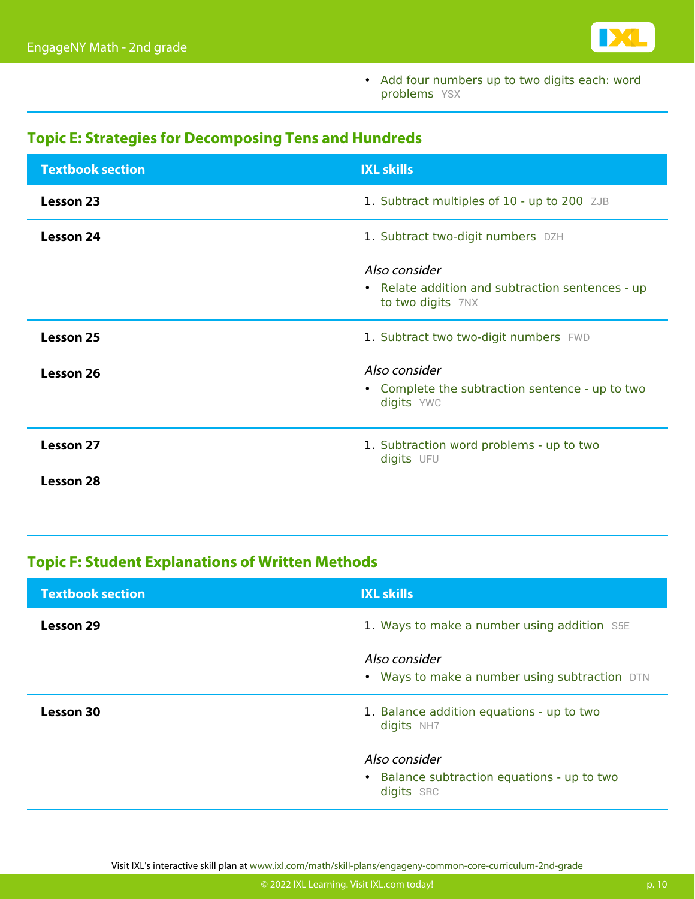

• [Add four numbers up to two digits each: word](https://www.ixl.com/math/grade-2/add-four-numbers-up-to-two-digits-each-word-problems) [problems](https://www.ixl.com/math/grade-2/add-four-numbers-up-to-two-digits-each-word-problems) **YSX** 

#### **Topic E: Strategies for Decomposing Tens and Hundreds**

| <b>Textbook section</b> | <b>IXL skills</b>                                                     |
|-------------------------|-----------------------------------------------------------------------|
| <b>Lesson 23</b>        | 1. Subtract multiples of 10 - up to 200 ZJB                           |
| Lesson 24               | 1. Subtract two-digit numbers DZH                                     |
|                         | Also consider                                                         |
|                         | • Relate addition and subtraction sentences - up<br>to two digits 7NX |
| Lesson 25               | 1. Subtract two two-digit numbers FWD                                 |
| Lesson 26               | Also consider                                                         |
|                         | • Complete the subtraction sentence - up to two<br>digits YWC         |
| Lesson 27               | 1. Subtraction word problems - up to two<br>digits UFU                |
| <b>Lesson 28</b>        |                                                                       |

#### **Topic F: Student Explanations of Written Methods**

| <b>Textbook section</b> | <b>IXL skills</b>                                              |
|-------------------------|----------------------------------------------------------------|
| Lesson 29               | 1. Ways to make a number using addition S5E                    |
|                         | Also consider<br>• Ways to make a number using subtraction DTN |
| <b>Lesson 30</b>        | 1. Balance addition equations - up to two<br>digits NH7        |
|                         | Also consider<br>• Balance subtraction equations - up to two   |
|                         | digits SRC                                                     |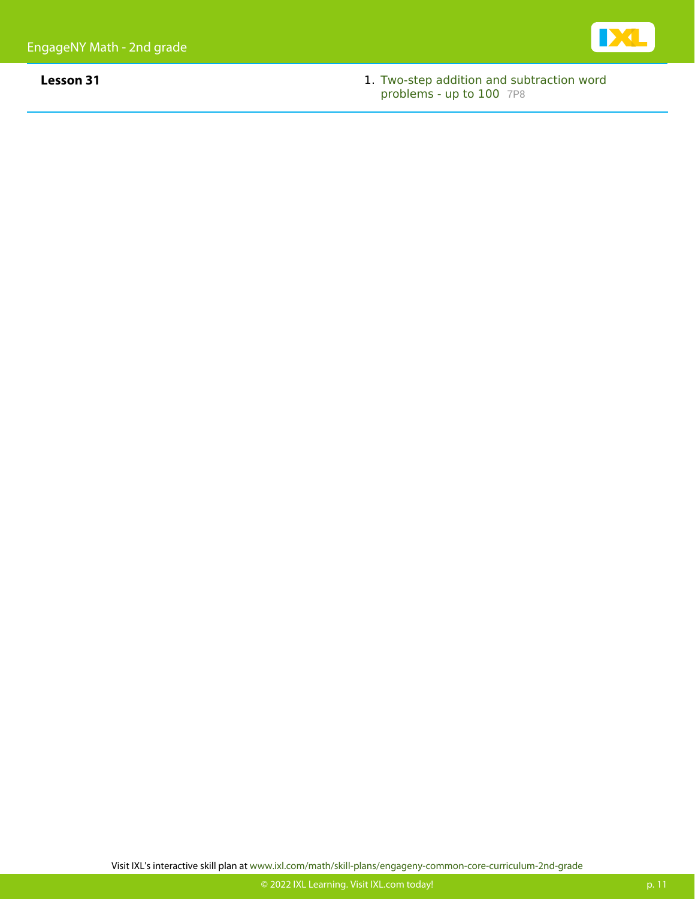

**Lesson 31** 1. [Two-step addition and subtraction word](https://www.ixl.com/math/grade-2/two-step-addition-and-subtraction-word-problems-up-to-100) [problems - up to 100](https://www.ixl.com/math/grade-2/two-step-addition-and-subtraction-word-problems-up-to-100) [7P8](https://www.ixl.com/math/grade-2/two-step-addition-and-subtraction-word-problems-up-to-100)

**IX**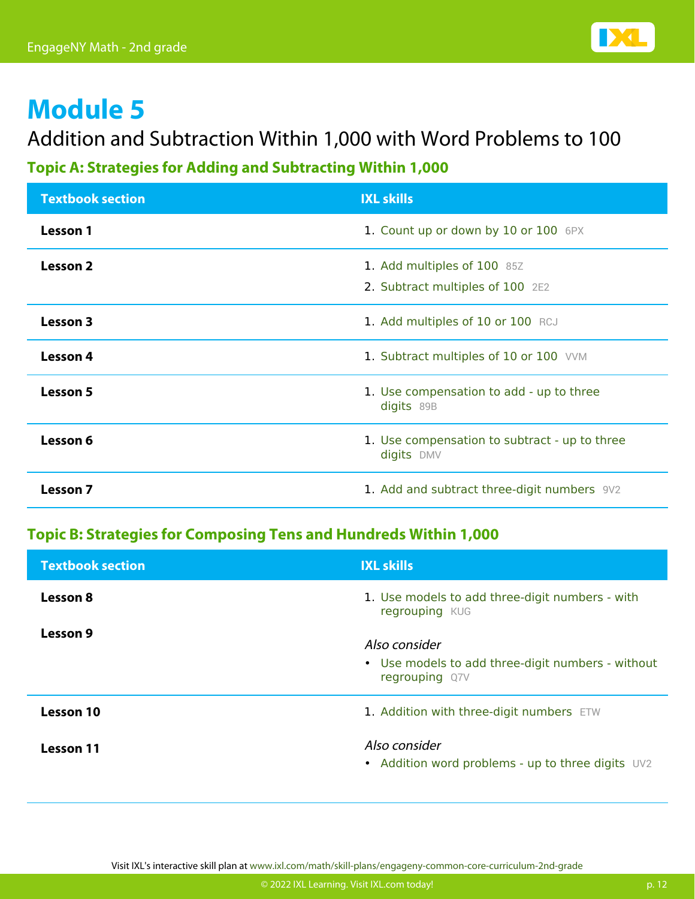

## Addition and Subtraction Within 1,000 with Word Problems to 100

#### **Topic A: Strategies for Adding and Subtracting Within 1,000**

| <b>Textbook section</b> | <b>IXL skills</b>                                               |
|-------------------------|-----------------------------------------------------------------|
| Lesson 1                | 1. Count up or down by 10 or 100 6PX                            |
| Lesson 2                | 1. Add multiples of 100 85Z<br>2. Subtract multiples of 100 2E2 |
| Lesson 3                | 1. Add multiples of 10 or 100 RCJ                               |
| Lesson 4                | 1. Subtract multiples of 10 or 100 VVM                          |
| Lesson 5                | 1. Use compensation to add - up to three<br>digits 89B          |
| Lesson 6                | 1. Use compensation to subtract - up to three<br>digits DMV     |
| <b>Lesson 7</b>         | 1. Add and subtract three-digit numbers 9V2                     |

#### **Topic B: Strategies for Composing Tens and Hundreds Within 1,000**

| <b>Textbook section</b> | <b>IXL skills</b>                                                                    |
|-------------------------|--------------------------------------------------------------------------------------|
| Lesson 8                | 1. Use models to add three-digit numbers - with<br>regrouping KUG                    |
| Lesson 9                | Also consider<br>• Use models to add three-digit numbers - without<br>regrouping Q7V |
| Lesson 10               | 1. Addition with three-digit numbers ETW                                             |
| <b>Lesson 11</b>        | Also consider<br>• Addition word problems - up to three digits UV2                   |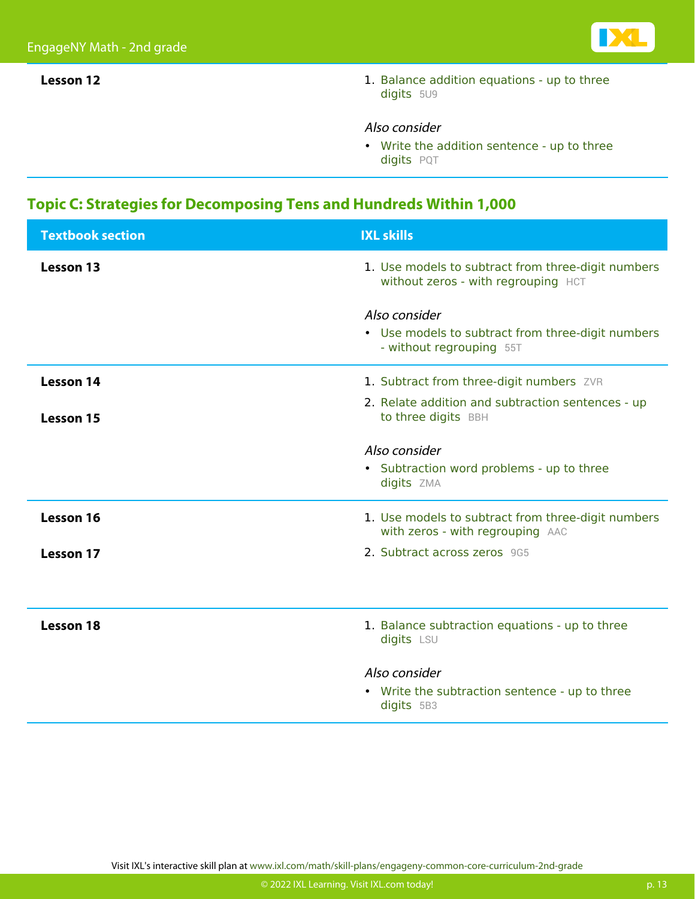

**Lesson 12 1.** [Balance addition equations - up to three](https://www.ixl.com/math/grade-2/balance-addition-equations-up-to-three-digits) [digits](https://www.ixl.com/math/grade-2/balance-addition-equations-up-to-three-digits) [5U9](https://www.ixl.com/math/grade-2/balance-addition-equations-up-to-three-digits)

#### Also consider

• [Write the addition sentence - up to three](https://www.ixl.com/math/grade-2/write-the-addition-sentence-up-to-three-digits) [digits](https://www.ixl.com/math/grade-2/write-the-addition-sentence-up-to-three-digits) [PQT](https://www.ixl.com/math/grade-2/write-the-addition-sentence-up-to-three-digits)

#### **Topic C: Strategies for Decomposing Tens and Hundreds Within 1,000**

| <b>Textbook section</b> | <b>IXL skills</b>                                                                              |
|-------------------------|------------------------------------------------------------------------------------------------|
| <b>Lesson 13</b>        | 1. Use models to subtract from three-digit numbers<br>without zeros - with regrouping HCT      |
|                         | Also consider<br>• Use models to subtract from three-digit numbers<br>- without regrouping 55T |
| <b>Lesson 14</b>        | 1. Subtract from three-digit numbers ZVR                                                       |
| <b>Lesson 15</b>        | 2. Relate addition and subtraction sentences - up<br>to three digits BBH                       |
|                         | Also consider                                                                                  |
|                         | • Subtraction word problems - up to three<br>digits ZMA                                        |
| Lesson 16               | 1. Use models to subtract from three-digit numbers<br>with zeros - with regrouping AAC         |
| <b>Lesson 17</b>        | 2. Subtract across zeros 9G5                                                                   |
|                         |                                                                                                |
| <b>Lesson 18</b>        | 1. Balance subtraction equations - up to three<br>digits LSU                                   |
|                         | Also consider<br>• Write the subtraction sentence - up to three<br>digits 5B3                  |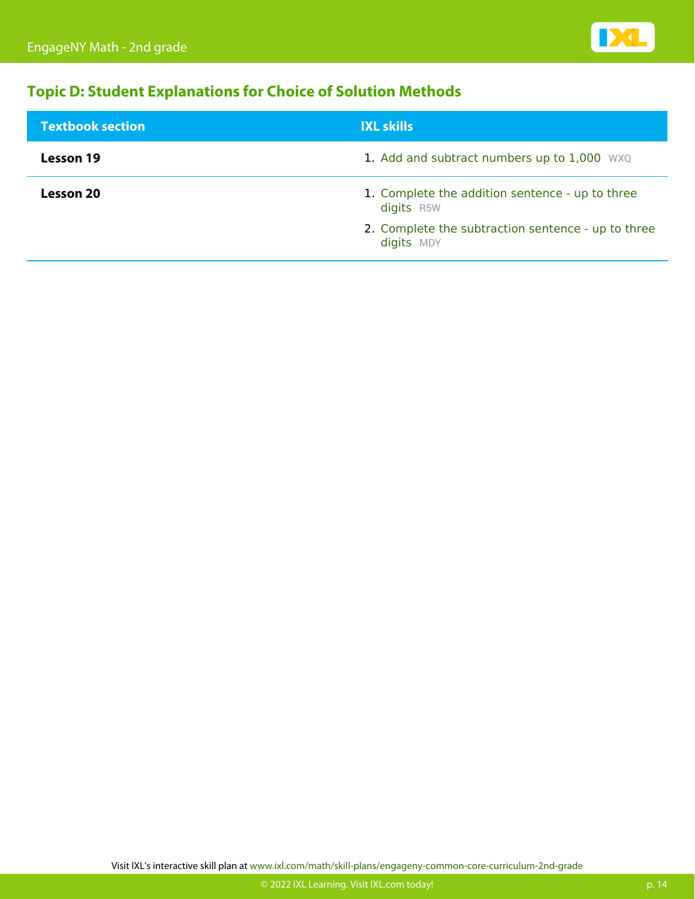

#### **Topic D: Student Explanations for Choice of Solution Methods**

| <b>Textbook section</b> | <b>IXL skills</b>                                                |
|-------------------------|------------------------------------------------------------------|
| Lesson 19               | 1. Add and subtract numbers up to 1,000 WXQ                      |
| Lesson 20               | 1. Complete the addition sentence - up to three<br>digits R5W    |
|                         | 2. Complete the subtraction sentence - up to three<br>digits MDY |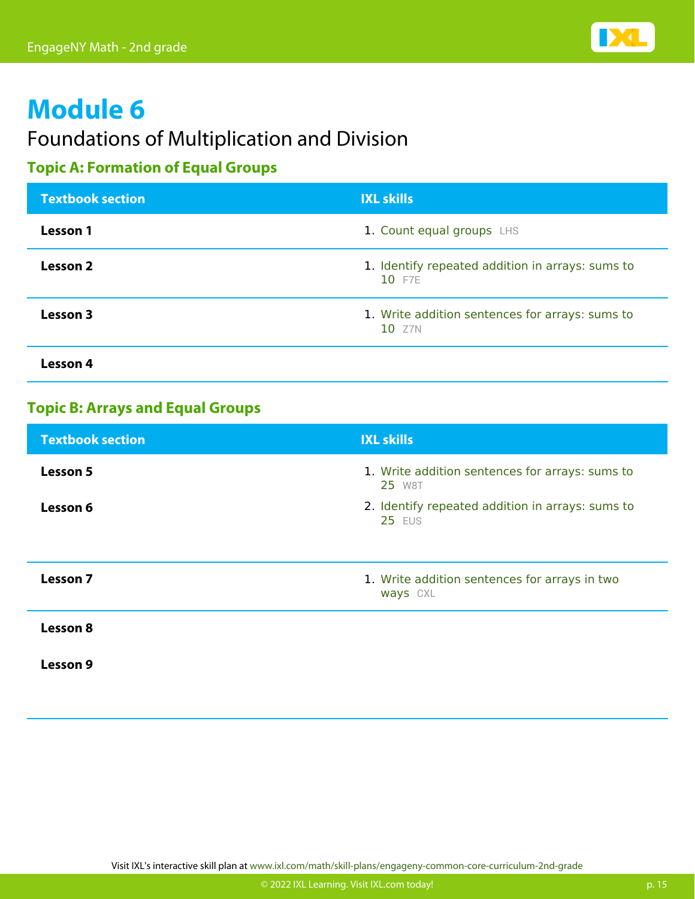

## Foundations of Multiplication and Division

#### **Topic A: Formation of Equal Groups**

| <b>Textbook section</b> | <b>IXL skills</b>                                          |
|-------------------------|------------------------------------------------------------|
| <b>Lesson 1</b>         | 1. Count equal groups LHS                                  |
| Lesson 2                | 1. Identify repeated addition in arrays: sums to<br>10 F7E |
| Lesson 3                | 1. Write addition sentences for arrays: sums to<br>10 Z7N  |
| Lesson 4                |                                                            |

#### **Topic B: Arrays and Equal Groups**

| <b>Textbook section</b> | <b>IXL skills</b>                                                 |
|-------------------------|-------------------------------------------------------------------|
| Lesson 5                | 1. Write addition sentences for arrays: sums to<br>25 W8T         |
| Lesson 6                | 2. Identify repeated addition in arrays: sums to<br><b>25 EUS</b> |
|                         |                                                                   |
| Lesson 7                | 1. Write addition sentences for arrays in two<br>ways CXL         |
| Lesson 8                |                                                                   |
| Lesson 9                |                                                                   |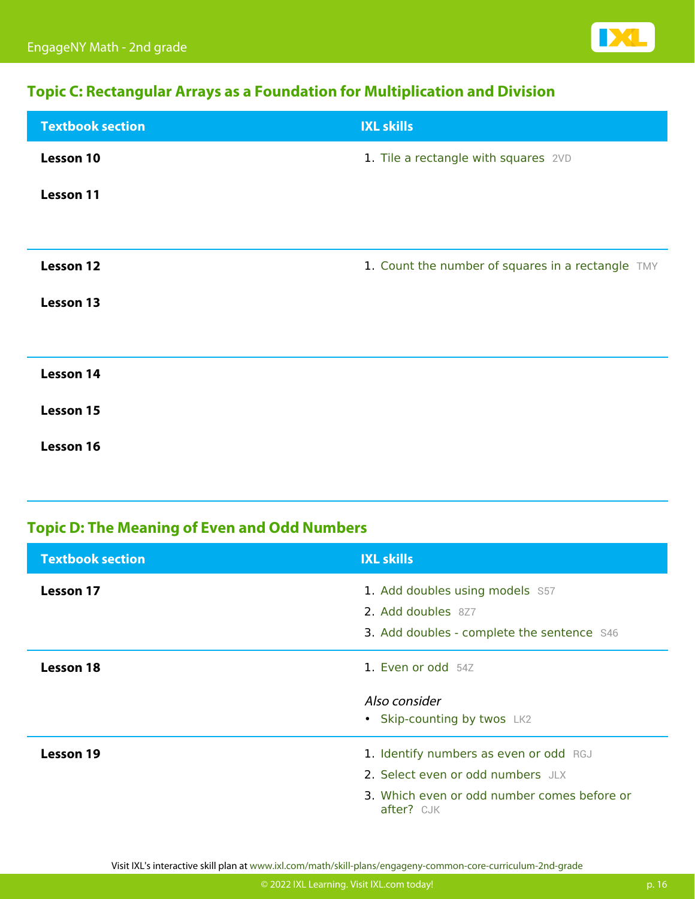

#### **Topic C: Rectangular Arrays as a Foundation for Multiplication and Division**

| <b>Textbook section</b> | <b>IXL skills</b>                                 |
|-------------------------|---------------------------------------------------|
| <b>Lesson 10</b>        | 1. Tile a rectangle with squares 2VD              |
| Lesson 11               |                                                   |
|                         |                                                   |
| <b>Lesson 12</b>        | 1. Count the number of squares in a rectangle TMY |
| <b>Lesson 13</b>        |                                                   |
|                         |                                                   |
| Lesson 14               |                                                   |
| Lesson 15               |                                                   |
| Lesson 16               |                                                   |

#### **Topic D: The Meaning of Even and Odd Numbers**

| <b>Textbook section</b> | <b>IXL skills</b>                                         |
|-------------------------|-----------------------------------------------------------|
| Lesson 17               | 1. Add doubles using models S57                           |
|                         | 2. Add doubles 8Z7                                        |
|                         | 3. Add doubles - complete the sentence S46                |
| <b>Lesson 18</b>        | 1. Even or odd 54Z                                        |
|                         | Also consider                                             |
|                         | • Skip-counting by twos LK2                               |
| <b>Lesson 19</b>        | 1. Identify numbers as even or odd RGJ                    |
|                         | 2. Select even or odd numbers JLX                         |
|                         | 3. Which even or odd number comes before or<br>after? CJK |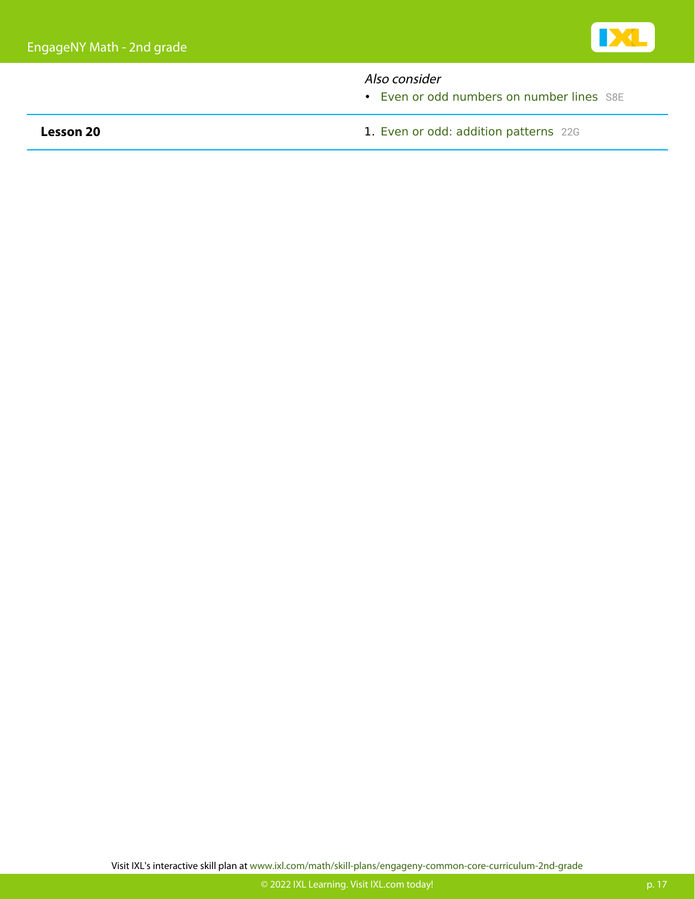#### Also consider

• [Even or odd numbers on number lines](https://www.ixl.com/math/grade-2/even-or-odd-numbers-on-number-lines) [S8E](https://www.ixl.com/math/grade-2/even-or-odd-numbers-on-number-lines)

**Lesson 20 Lesson 20 1. [Even or odd: addition patterns](https://www.ixl.com/math/grade-2/even-or-odd-addition-patterns)** [22G](https://www.ixl.com/math/grade-2/even-or-odd-addition-patterns)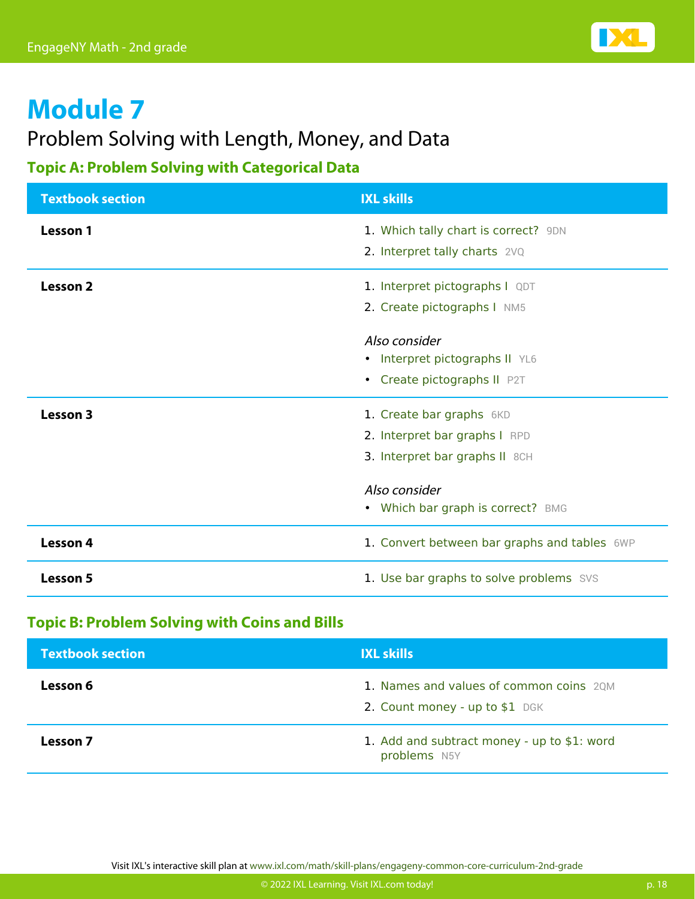

### Problem Solving with Length, Money, and Data

#### **Topic A: Problem Solving with Categorical Data**

| <b>Textbook section</b> | <b>IXL skills</b>                            |
|-------------------------|----------------------------------------------|
| Lesson 1                | 1. Which tally chart is correct? 9DN         |
|                         | 2. Interpret tally charts 2VQ                |
| Lesson <sub>2</sub>     | 1. Interpret pictographs I QDT               |
|                         | 2. Create pictographs I NM5                  |
|                         | Also consider                                |
|                         | • Interpret pictographs II YL6               |
|                         | • Create pictographs II P2T                  |
| Lesson 3                | 1. Create bar graphs 6KD                     |
|                         | 2. Interpret bar graphs I RPD                |
|                         | 3. Interpret bar graphs II 8CH               |
|                         | Also consider                                |
|                         | • Which bar graph is correct? BMG            |
| Lesson 4                | 1. Convert between bar graphs and tables 6WP |
| <b>Lesson 5</b>         | 1. Use bar graphs to solve problems SVS      |

#### **Topic B: Problem Solving with Coins and Bills**

| <b>Textbook section</b> | <b>IXL skills</b>                                                         |
|-------------------------|---------------------------------------------------------------------------|
| Lesson 6                | 1. Names and values of common coins 2QM<br>2. Count money - up to \$1 DGK |
| Lesson 7                | 1. Add and subtract money - up to \$1: word<br>problems N5Y               |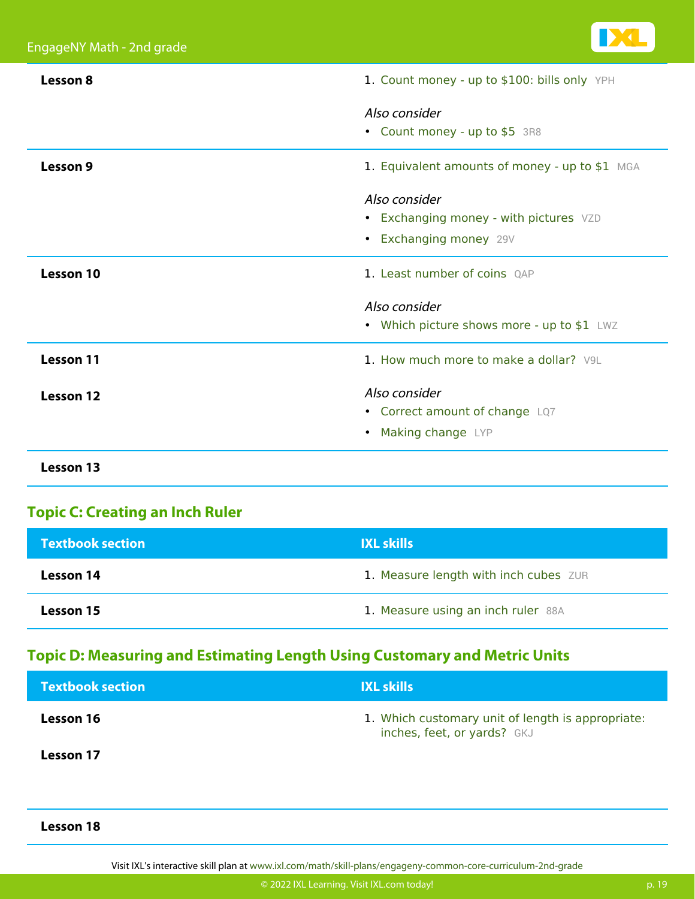

| Lesson 8         | 1. Count money - up to \$100: bills only YPH   |
|------------------|------------------------------------------------|
|                  | Also consider                                  |
|                  | • Count money - up to \$5 3R8                  |
| Lesson 9         | 1. Equivalent amounts of money - up to \$1 MGA |
|                  | Also consider                                  |
|                  | • Exchanging money - with pictures VZD         |
|                  | • Exchanging money 29V                         |
| Lesson 10        | 1. Least number of coins OAP                   |
|                  | Also consider                                  |
|                  | • Which picture shows more - up to \$1 LWZ     |
| <b>Lesson 11</b> | 1. How much more to make a dollar? V9L         |
| Lesson 12        | Also consider                                  |
|                  | • Correct amount of change LQ7                 |
|                  | • Making change LYP                            |
| <b>Lesson 13</b> |                                                |

#### **Topic C: Creating an Inch Ruler**

| <b>Textbook section</b> | <b>IXL skills</b>                     |
|-------------------------|---------------------------------------|
| <b>Lesson 14</b>        | 1. Measure length with inch cubes ZUR |
| <b>Lesson 15</b>        | 1. Measure using an inch ruler 88A    |

#### **Topic D: Measuring and Estimating Length Using Customary and Metric Units**

| <b>Textbook section</b> | <b>IXL skills</b>                                                                |
|-------------------------|----------------------------------------------------------------------------------|
| Lesson 16               | 1. Which customary unit of length is appropriate:<br>inches, feet, or yards? GKJ |
| <b>Lesson 17</b>        |                                                                                  |
|                         |                                                                                  |

#### **Lesson 18**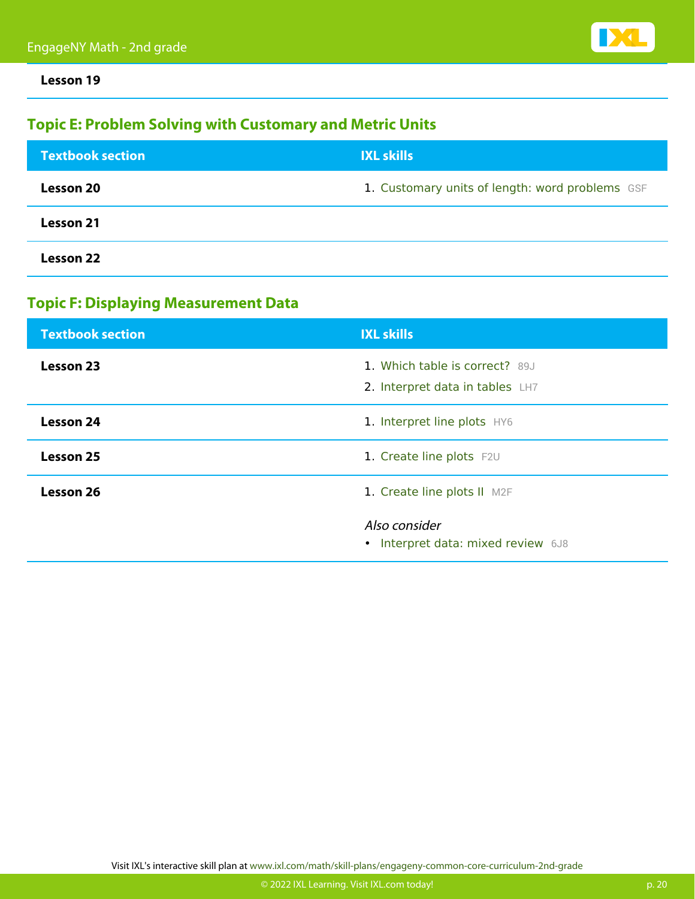**Lesson 19**

#### **Topic E: Problem Solving with Customary and Metric Units**

| <b>Textbook section</b> | <b>IXL skills</b>                               |
|-------------------------|-------------------------------------------------|
| <b>Lesson 20</b>        | 1. Customary units of length: word problems GSF |
| Lesson 21               |                                                 |
| Lesson 22               |                                                 |

#### **Topic F: Displaying Measurement Data**

| <b>Textbook section</b> | <b>IXL skills</b>                                                 |
|-------------------------|-------------------------------------------------------------------|
| Lesson 23               | 1. Which table is correct? 89J<br>2. Interpret data in tables LH7 |
| <b>Lesson 24</b>        | 1. Interpret line plots HY6                                       |
| Lesson 25               | 1. Create line plots F2U                                          |
| Lesson 26               | 1. Create line plots II M2F                                       |
|                         | Also consider<br>• Interpret data: mixed review 6J8               |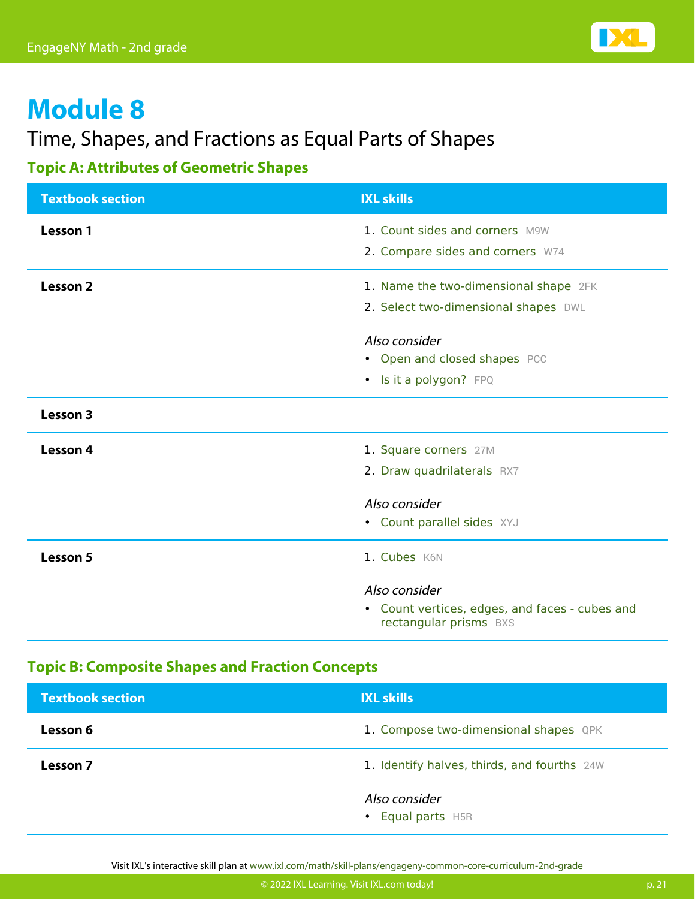

## Time, Shapes, and Fractions as Equal Parts of Shapes

#### **Topic A: Attributes of Geometric Shapes**

| <b>Textbook section</b> | <b>IXL skills</b>                                                        |
|-------------------------|--------------------------------------------------------------------------|
| Lesson 1                | 1. Count sides and corners M9W                                           |
|                         | 2. Compare sides and corners W74                                         |
| <b>Lesson 2</b>         | 1. Name the two-dimensional shape 2FK                                    |
|                         | 2. Select two-dimensional shapes DWL                                     |
|                         | Also consider                                                            |
|                         | • Open and closed shapes PCC                                             |
|                         | • Is it a polygon? FPQ                                                   |
| Lesson 3                |                                                                          |
| Lesson 4                | 1. Square corners 27M                                                    |
|                         | 2. Draw quadrilaterals RX7                                               |
|                         | Also consider                                                            |
|                         | • Count parallel sides XYJ                                               |
| <b>Lesson 5</b>         | 1. Cubes K6N                                                             |
|                         | Also consider                                                            |
|                         | • Count vertices, edges, and faces - cubes and<br>rectangular prisms BXS |

#### **Topic B: Composite Shapes and Fraction Concepts**

| <b>Textbook section</b> | <b>IXL skills</b>                           |
|-------------------------|---------------------------------------------|
| Lesson 6                | 1. Compose two-dimensional shapes QPK       |
| Lesson 7                | 1. Identify halves, thirds, and fourths 24W |
|                         | Also consider<br>• Equal parts H5R          |